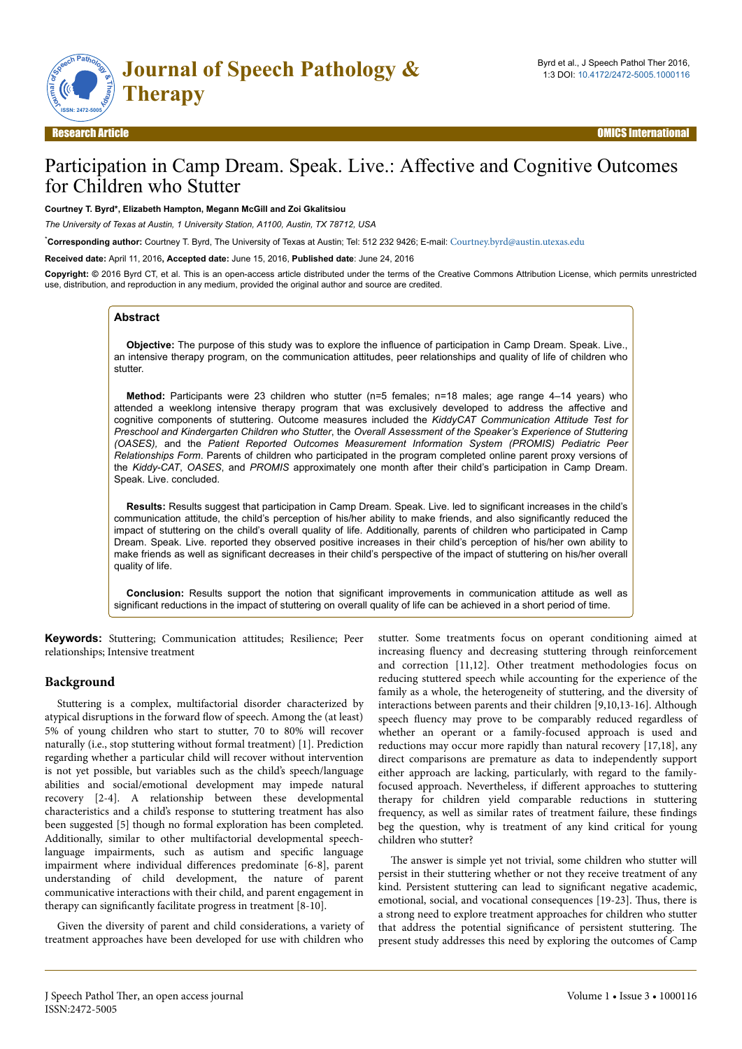

# Participation in Camp Dream. Speak. Live.: Affective and Cognitive Outcomes for Children who Stutter

#### **Courtney T. Byrd\*, Elizabeth Hampton, Megann McGill and Zoi Gkalitsiou**

*The University of Texas at Austin, 1 University Station, A1100, Austin, TX 78712, USA*

\***Corresponding author:** Courtney T. Byrd, The University of Texas at Austin; Tel: 512 232 9426; E-mail: [Courtney.byrd@austin.utexas.edu](mailto:Courtney.byrd@austin.utexas.edu)

**Received date:** April 11, 2016**, Accepted date:** June 15, 2016, **Published date**: June 24, 2016

**Copyright: ©** 2016 Byrd CT, et al. This is an open-access article distributed under the terms of the Creative Commons Attribution License, which permits unrestricted use, distribution, and reproduction in any medium, provided the original author and source are credited.

#### **Abstract**

**Objective:** The purpose of this study was to explore the influence of participation in Camp Dream. Speak. Live., an intensive therapy program, on the communication attitudes, peer relationships and quality of life of children who stutter.

**Method:** Participants were 23 children who stutter (n=5 females; n=18 males; age range 4–14 years) who attended a weeklong intensive therapy program that was exclusively developed to address the affective and cognitive components of stuttering. Outcome measures included the *KiddyCAT Communication Attitude Test for Preschool and Kindergarten Children who Stutter*, the *Overall Assessment of the Speaker's Experience of Stuttering (OASES),* and the *Patient Reported Outcomes Measurement Information System (PROMIS) Pediatric Peer Relationships Form*. Parents of children who participated in the program completed online parent proxy versions of the *Kiddy-CAT*, *OASES*, and *PROMIS* approximately one month after their child's participation in Camp Dream. Speak. Live. concluded.

**Results:** Results suggest that participation in Camp Dream. Speak. Live. led to significant increases in the child's communication attitude, the child's perception of his/her ability to make friends, and also significantly reduced the impact of stuttering on the child's overall quality of life. Additionally, parents of children who participated in Camp Dream. Speak. Live. reported they observed positive increases in their child's perception of his/her own ability to make friends as well as significant decreases in their child's perspective of the impact of stuttering on his/her overall quality of life.

**Conclusion:** Results support the notion that significant improvements in communication attitude as well as significant reductions in the impact of stuttering on overall quality of life can be achieved in a short period of time.

**Keywords:** Stuttering; Communication attitudes; Resilience; Peer relationships; Intensive treatment

# **Background**

Stuttering is a complex, multifactorial disorder characterized by atypical disruptions in the forward flow of speech. Among the (at least) 5% of young children who start to stutter, 70 to 80% will recover naturally (i.e., stop stuttering without formal treatment) [1]. Prediction regarding whether a particular child will recover without intervention is not yet possible, but variables such as the child's speech/language abilities and social/emotional development may impede natural recovery [2-4]. A relationship between these developmental characteristics and a child's response to stuttering treatment has also been suggested [5] though no formal exploration has been completed. Additionally, similar to other multifactorial developmental speechlanguage impairments, such as autism and specific language impairment where individual differences predominate [6-8], parent understanding of child development, the nature of parent communicative interactions with their child, and parent engagement in therapy can significantly facilitate progress in treatment  $[8-10]$ .

Given the diversity of parent and child considerations, a variety of treatment approaches have been developed for use with children who stutter. Some treatments focus on operant conditioning aimed at increasing fluency and decreasing stuttering through reinforcement and correction [11,12]. Other treatment methodologies focus on reducing stuttered speech while accounting for the experience of the family as a whole, the heterogeneity of stuttering, and the diversity of interactions between parents and their children [9,10,13-16]. Although speech fluency may prove to be comparably reduced regardless of whether an operant or a family-focused approach is used and reductions may occur more rapidly than natural recovery [17,18], any direct comparisons are premature as data to independently support either approach are lacking, particularly, with regard to the familyfocused approach. Nevertheless, if different approaches to stuttering therapy for children yield comparable reductions in stuttering frequency, as well as similar rates of treatment failure, these findings beg the question, why is treatment of any kind critical for young children who stutter?

The answer is simple yet not trivial, some children who stutter will persist in their stuttering whether or not they receive treatment of any kind. Persistent stuttering can lead to significant negative academic, emotional, social, and vocational consequences [19-23]. Нus, there is a strong need to explore treatment approaches for children who stutter that address the potential significance of persistent stuttering. Нe present study addresses this need by exploring the outcomes of Camp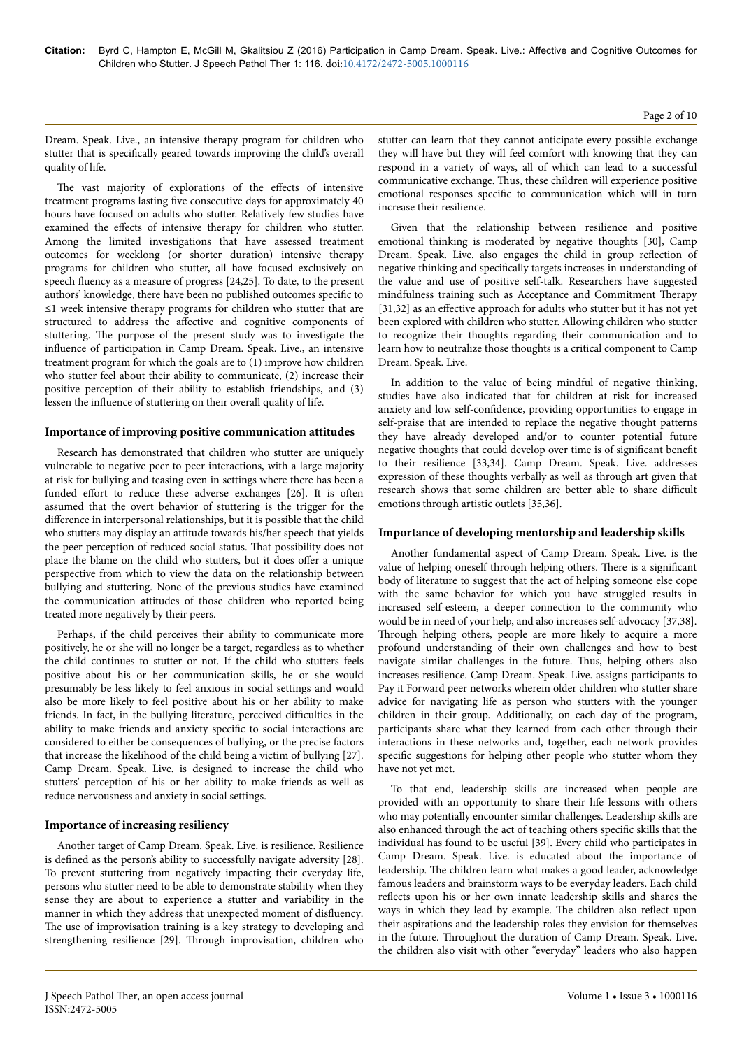# Page 2 of 10

Dream. Speak. Live., an intensive therapy program for children who stutter that is specifically geared towards improving the child's overall quality of life.

The vast majority of explorations of the effects of intensive treatment programs lasting five consecutive days for approximately 40 hours have focused on adults who stutter. Relatively few studies have examined the effects of intensive therapy for children who stutter. Among the limited investigations that have assessed treatment outcomes for weeklong (or shorter duration) intensive therapy programs for children who stutter, all have focused exclusively on speech fluency as a measure of progress [24,25]. To date, to the present authors' knowledge, there have been no published outcomes specific to ≤1 week intensive therapy programs for children who stutter that are structured to address the affective and cognitive components of stuttering. Нe purpose of the present study was to investigate the influence of participation in Camp Dream. Speak. Live., an intensive treatment program for which the goals are to (1) improve how children who stutter feel about their ability to communicate, (2) increase their positive perception of their ability to establish friendships, and (3) lessen the influence of stuttering on their overall quality of life.

# **Importance of improving positive communication attitudes**

Research has demonstrated that children who stutter are uniquely vulnerable to negative peer to peer interactions, with a large majority at risk for bullying and teasing even in settings where there has been a funded effort to reduce these adverse exchanges [26]. It is often assumed that the overt behavior of stuttering is the trigger for the difference in interpersonal relationships, but it is possible that the child who stutters may display an attitude towards his/her speech that yields the peer perception of reduced social status. Нat possibility does not place the blame on the child who stutters, but it does offer a unique perspective from which to view the data on the relationship between bullying and stuttering. None of the previous studies have examined the communication attitudes of those children who reported being treated more negatively by their peers.

Perhaps, if the child perceives their ability to communicate more positively, he or she will no longer be a target, regardless as to whether the child continues to stutter or not. If the child who stutters feels positive about his or her communication skills, he or she would presumably be less likely to feel anxious in social settings and would also be more likely to feel positive about his or her ability to make friends. In fact, in the bullying literature, perceived difficulties in the ability to make friends and anxiety specific to social interactions are considered to either be consequences of bullying, or the precise factors that increase the likelihood of the child being a victim of bullying [27]. Camp Dream. Speak. Live. is designed to increase the child who stutters' perception of his or her ability to make friends as well as reduce nervousness and anxiety in social settings.

# **Importance of increasing resiliency**

Another target of Camp Dream. Speak. Live. is resilience. Resilience is defined as the person's ability to successfully navigate adversity [28]. To prevent stuttering from negatively impacting their everyday life, persons who stutter need to be able to demonstrate stability when they sense they are about to experience a stutter and variability in the manner in which they address that unexpected moment of disfluenc\. The use of improvisation training is a key strategy to developing and strengthening resilience [29]. Нrough improvisation, children who

stutter can learn that they cannot anticipate every possible exchange they will have but they will feel comfort with knowing that they can respond in a variety of ways, all of which can lead to a successful communicative exchange. Нus, these children will experience positive emotional responses specific to communication which will in turn increase their resilience.

Given that the relationship between resilience and positive emotional thinking is moderated by negative thoughts [30], Camp Dream. Speak. Live. also engages the child in group reflection of negative thinking and specifically targets increases in understanding of the value and use of positive self-talk. Researchers have suggested mindfulness training such as Acceptance and Commitment Therapy  $[31,32]$  as an effective approach for adults who stutter but it has not yet been explored with children who stutter. Allowing children who stutter to recognize their thoughts regarding their communication and to learn how to neutralize those thoughts is a critical component to Camp Dream. Speak. Live.

In addition to the value of being mindful of negative thinking, studies have also indicated that for children at risk for increased anxiety and low self-confidence, providing opportunities to engage in self-praise that are intended to replace the negative thought patterns they have already developed and/or to counter potential future negative thoughts that could develop over time is of significant benefit to their resilience [33,34]. Camp Dream. Speak. Live. addresses expression of these thoughts verbally as well as through art given that research shows that some children are better able to share difficult emotions through artistic outlets [35,36].

# **Importance of developing mentorship and leadership skills**

Another fundamental aspect of Camp Dream. Speak. Live. is the value of helping oneself through helping others. Нere is a significant body of literature to suggest that the act of helping someone else cope with the same behavior for which you have struggled results in increased self-esteem, a deeper connection to the community who would be in need of your help, and also increases self-advocacy [37,38]. Through helping others, people are more likely to acquire a more profound understanding of their own challenges and how to best navigate similar challenges in the future. Нus, helping others also increases resilience. Camp Dream. Speak. Live. assigns participants to Pay it Forward peer networks wherein older children who stutter share advice for navigating life as person who stutters with the younger children in their group. Additionally, on each day of the program, participants share what they learned from each other through their interactions in these networks and, together, each network provides specific suggestions for helping other people who stutter whom they have not yet met.

To that end, leadership skills are increased when people are provided with an opportunity to share their life lessons with others who may potentially encounter similar challenges. Leadership skills are also enhanced through the act of teaching others specific skills that the individual has found to be useful [39]. Every child who participates in Camp Dream. Speak. Live. is educated about the importance of leadership. Нe children learn what makes a good leader, acknowledge famous leaders and brainstorm ways to be everyday leaders. Each child reflects upon his or her own innate leadership skills and shares the ways in which they lead by example. Нe children also reflect upon their aspirations and the leadership roles they envision for themselves in the future. Нroughout the duration of Camp Dream. Speak. Live. the children also visit with other "everyday" leaders who also happen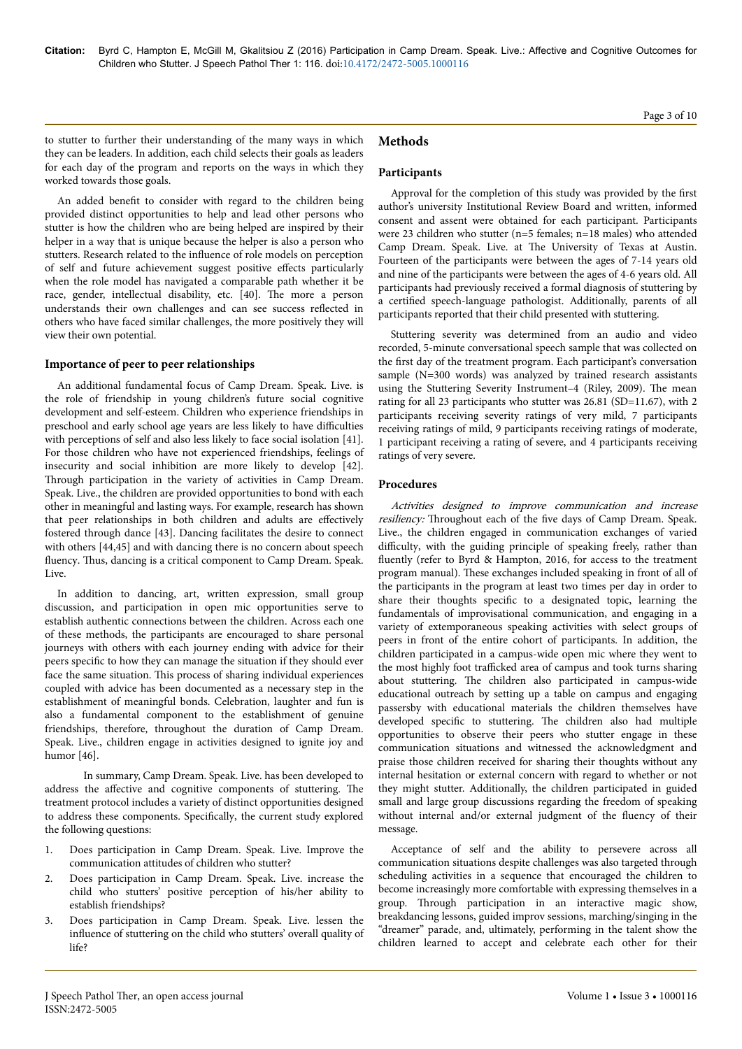to stutter to further their understanding of the many ways in which they can be leaders. In addition, each child selects their goals as leaders for each day of the program and reports on the ways in which they worked towards those goals.

An added benefit to consider with regard to the children being provided distinct opportunities to help and lead other persons who stutter is how the children who are being helped are inspired by their helper in a way that is unique because the helper is also a person who stutters. Research related to the influence of role models on perception of self and future achievement suggest positive effects particularly when the role model has navigated a comparable path whether it be race, gender, intellectual disability, etc. [40]. Нe more a person understands their own challenges and can see success reflected in others who have faced similar challenges, the more positively they will view their own potential.

## **Importance of peer to peer relationships**

An additional fundamental focus of Camp Dream. Speak. Live. is the role of friendship in young children's future social cognitive development and self-esteem. Children who experience friendships in preschool and early school age years are less likely to have difficulties with perceptions of self and also less likely to face social isolation [41]. For those children who have not experienced friendships, feelings of insecurity and social inhibition are more likely to develop [42]. Through participation in the variety of activities in Camp Dream. Speak. Live., the children are provided opportunities to bond with each other in meaningful and lasting ways. For example, research has shown that peer relationships in both children and adults are effectively fostered through dance [43]. Dancing facilitates the desire to connect with others [44,45] and with dancing there is no concern about speech fluency. Thus, dancing is a critical component to Camp Dream. Speak. Live.

In addition to dancing, art, written expression, small group discussion, and participation in open mic opportunities serve to establish authentic connections between the children. Across each one of these methods, the participants are encouraged to share personal journeys with others with each journey ending with advice for their peers specific to how they can manage the situation if they should ever face the same situation. Нis process of sharing individual experiences coupled with advice has been documented as a necessary step in the establishment of meaningful bonds. Celebration, laughter and fun is also a fundamental component to the establishment of genuine friendships, therefore, throughout the duration of Camp Dream. Speak. Live., children engage in activities designed to ignite joy and humor [46].

In summary, Camp Dream. Speak. Live. has been developed to address the affective and cognitive components of stuttering. The treatment protocol includes a variety of distinct opportunities designed to address these components. Specifically, the current study explored the following questions:

- 1. Does participation in Camp Dream. Speak. Live. Improve the communication attitudes of children who stutter?
- 2. Does participation in Camp Dream. Speak. Live. increase the child who stutters' positive perception of his/her ability to establish friendships?
- 3. Does participation in Camp Dream. Speak. Live. lessen the influence of stuttering on the child who stutters' overall quality of life?

# **Methods**

# **Participants**

Approval for the completion of this study was provided by the first author's university Institutional Review Board and written, informed consent and assent were obtained for each participant. Participants were 23 children who stutter (n=5 females; n=18 males) who attended Camp Dream. Speak. Live. at Нe University of Texas at Austin. Fourteen of the participants were between the ages of 7-14 years old and nine of the participants were between the ages of 4-6 years old. All participants had previously received a formal diagnosis of stuttering by a certified speech-language pathologist. Additionally, parents of all participants reported that their child presented with stuttering.

Stuttering severity was determined from an audio and video recorded, 5-minute conversational speech sample that was collected on the first day of the treatment program. Each participant's conversation sample (N=300 words) was analyzed by trained research assistants using the Stuttering Severity Instrument-4 (Riley, 2009). The mean rating for all 23 participants who stutter was 26.81 (SD=11.67), with 2 participants receiving severity ratings of very mild, 7 participants receiving ratings of mild, 9 participants receiving ratings of moderate, 1 participant receiving a rating of severe, and 4 participants receiving ratings of very severe.

# **Procedures**

Activities designed to improve communication and increase resiliency: Нroughout each of the five days of Camp Dream. Speak. Live., the children engaged in communication exchanges of varied difficulty, with the guiding principle of speaking freely, rather than fluently (refer to Byrd & Hampton, 2016, for access to the treatment program manual). Нese exchanges included speaking in front of all of the participants in the program at least two times per day in order to share their thoughts specific to a designated topic, learning the fundamentals of improvisational communication, and engaging in a variety of extemporaneous speaking activities with select groups of peers in front of the entire cohort of participants. In addition, the children participated in a campus-wide open mic where they went to the most highly foot trafficked area of campus and took turns sharing about stuttering. Нe children also participated in campus-wide educational outreach by setting up a table on campus and engaging passersby with educational materials the children themselves have developed specific to stuttering. Нe children also had multiple opportunities to observe their peers who stutter engage in these communication situations and witnessed the acknowledgment and praise those children received for sharing their thoughts without any internal hesitation or external concern with regard to whether or not they might stutter. Additionally, the children participated in guided small and large group discussions regarding the freedom of speaking without internal and/or external judgment of the fluency of their message.

Acceptance of self and the ability to persevere across all communication situations despite challenges was also targeted through scheduling activities in a sequence that encouraged the children to become increasingly more comfortable with expressing themselves in a group. Нrough participation in an interactive magic show, breakdancing lessons, guided improv sessions, marching/singing in the "dreamer" parade, and, ultimately, performing in the talent show the children learned to accept and celebrate each other for their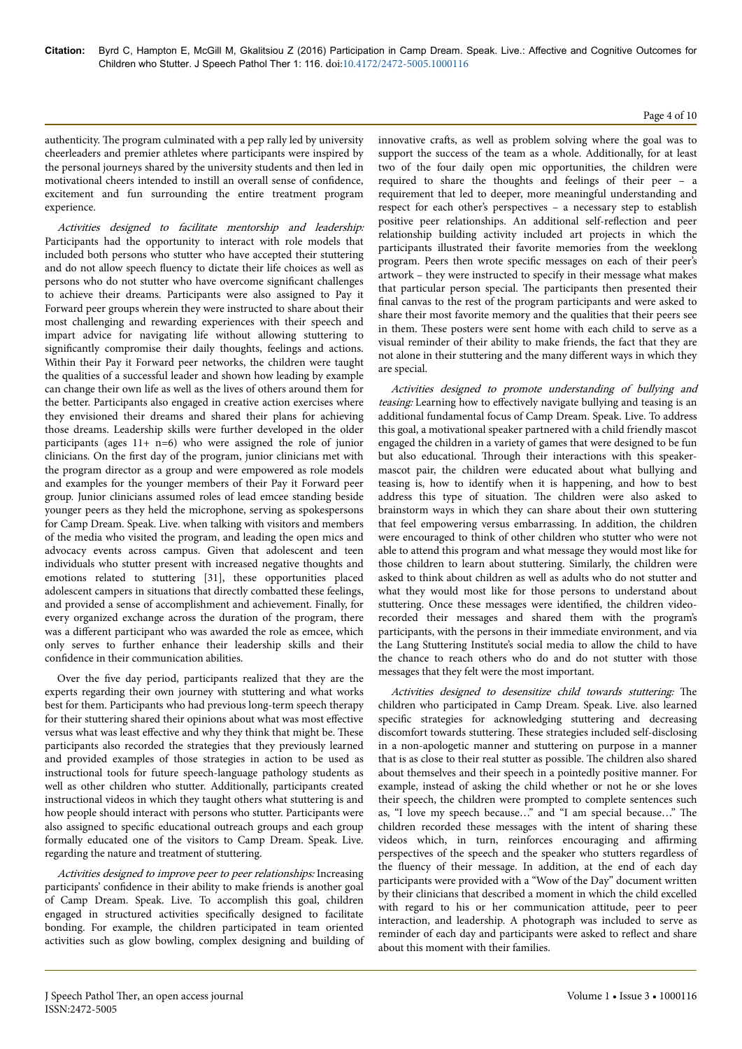# Page 4 of 10

authenticity. Нe program culminated with a pep rally led by university cheerleaders and premier athletes where participants were inspired by the personal journeys shared by the university students and then led in motivational cheers intended to instill an overall sense of confidence, excitement and fun surrounding the entire treatment program experience.

Activities designed to facilitate mentorship and leadership: Participants had the opportunity to interact with role models that included both persons who stutter who have accepted their stuttering and do not allow speech fluency to dictate their life choices as well as persons who do not stutter who have overcome significant challenges to achieve their dreams. Participants were also assigned to Pay it Forward peer groups wherein they were instructed to share about their most challenging and rewarding experiences with their speech and impart advice for navigating life without allowing stuttering to significantly compromise their daily thoughts, feelings and actions. Within their Pay it Forward peer networks, the children were taught the qualities of a successful leader and shown how leading by example can change their own life as well as the lives of others around them for the better. Participants also engaged in creative action exercises where they envisioned their dreams and shared their plans for achieving those dreams. Leadership skills were further developed in the older participants (ages 11+ n=6) who were assigned the role of junior clinicians. On the first day of the program, junior clinicians met with the program director as a group and were empowered as role models and examples for the younger members of their Pay it Forward peer group. Junior clinicians assumed roles of lead emcee standing beside younger peers as they held the microphone, serving as spokespersons for Camp Dream. Speak. Live. when talking with visitors and members of the media who visited the program, and leading the open mics and advocacy events across campus. Given that adolescent and teen individuals who stutter present with increased negative thoughts and emotions related to stuttering [31], these opportunities placed adolescent campers in situations that directly combatted these feelings, and provided a sense of accomplishment and achievement. Finally, for every organized exchange across the duration of the program, there was a different participant who was awarded the role as emcee, which only serves to further enhance their leadership skills and their confidence in their communication abilities.

Over the five day period, participants realized that they are the experts regarding their own journey with stuttering and what works best for them. Participants who had previous long-term speech therapy for their stuttering shared their opinions about what was most effective versus what was least effective and why they think that might be. These participants also recorded the strategies that they previously learned and provided examples of those strategies in action to be used as instructional tools for future speech-language pathology students as well as other children who stutter. Additionally, participants created instructional videos in which they taught others what stuttering is and how people should interact with persons who stutter. Participants were also assigned to specific educational outreach groups and each group formally educated one of the visitors to Camp Dream. Speak. Live. regarding the nature and treatment of stuttering.

Activities designed to improve peer to peer relationships: Increasing participants' confidence in their ability to make friends is another goal of Camp Dream. Speak. Live. To accomplish this goal, children engaged in structured activities specifically designed to facilitate bonding. For example, the children participated in team oriented activities such as glow bowling, complex designing and building of innovative crafts, as well as problem solving where the goal was to support the success of the team as a whole. Additionally, for at least two of the four daily open mic opportunities, the children were required to share the thoughts and feelings of their peer – a requirement that led to deeper, more meaningful understanding and respect for each other's perspectives – a necessary step to establish positive peer relationships. An additional self-reflection and peer relationship building activity included art projects in which the participants illustrated their favorite memories from the weeklong program. Peers then wrote specific messages on each of their peer's artwork – they were instructed to specify in their message what makes that particular person special. Нe participants then presented their final canvas to the rest of the program participants and were asked to share their most favorite memory and the qualities that their peers see in them. Нese posters were sent home with each child to serve as a visual reminder of their ability to make friends, the fact that they are not alone in their stuttering and the many different ways in which they are special.

Activities designed to promote understanding of bullying and teasing: Learning how to effectively navigate bullying and teasing is an additional fundamental focus of Camp Dream. Speak. Live. To address this goal, a motivational speaker partnered with a child friendly mascot engaged the children in a variety of games that were designed to be fun but also educational. Нrough their interactions with this speakermascot pair, the children were educated about what bullying and teasing is, how to identify when it is happening, and how to best address this type of situation. Нe children were also asked to brainstorm ways in which they can share about their own stuttering that feel empowering versus embarrassing. In addition, the children were encouraged to think of other children who stutter who were not able to attend this program and what message they would most like for those children to learn about stuttering. Similarly, the children were asked to think about children as well as adults who do not stutter and what they would most like for those persons to understand about stuttering. Once these messages were identified, the children videorecorded their messages and shared them with the program's participants, with the persons in their immediate environment, and via the Lang Stuttering Institute's social media to allow the child to have the chance to reach others who do and do not stutter with those messages that they felt were the most important.

Activities designed to desensitize child towards stuttering: The children who participated in Camp Dream. Speak. Live. also learned specific strategies for acknowledging stuttering and decreasing discomfort towards stuttering. Нese strategies included self-disclosing in a non-apologetic manner and stuttering on purpose in a manner that is as close to their real stutter as possible. Нe children also shared about themselves and their speech in a pointedly positive manner. For example, instead of asking the child whether or not he or she loves their speech, the children were prompted to complete sentences such as, "I love my speech because…" and "I am special because…" Нe children recorded these messages with the intent of sharing these videos which, in turn, reinforces encouraging and affirming perspectives of the speech and the speaker who stutters regardless of the fluency of their message. In addition, at the end of each day participants were provided with a "Wow of the Day" document written by their clinicians that described a moment in which the child excelled with regard to his or her communication attitude, peer to peer interaction, and leadership. A photograph was included to serve as reminder of each day and participants were asked to reflect and share about this moment with their families.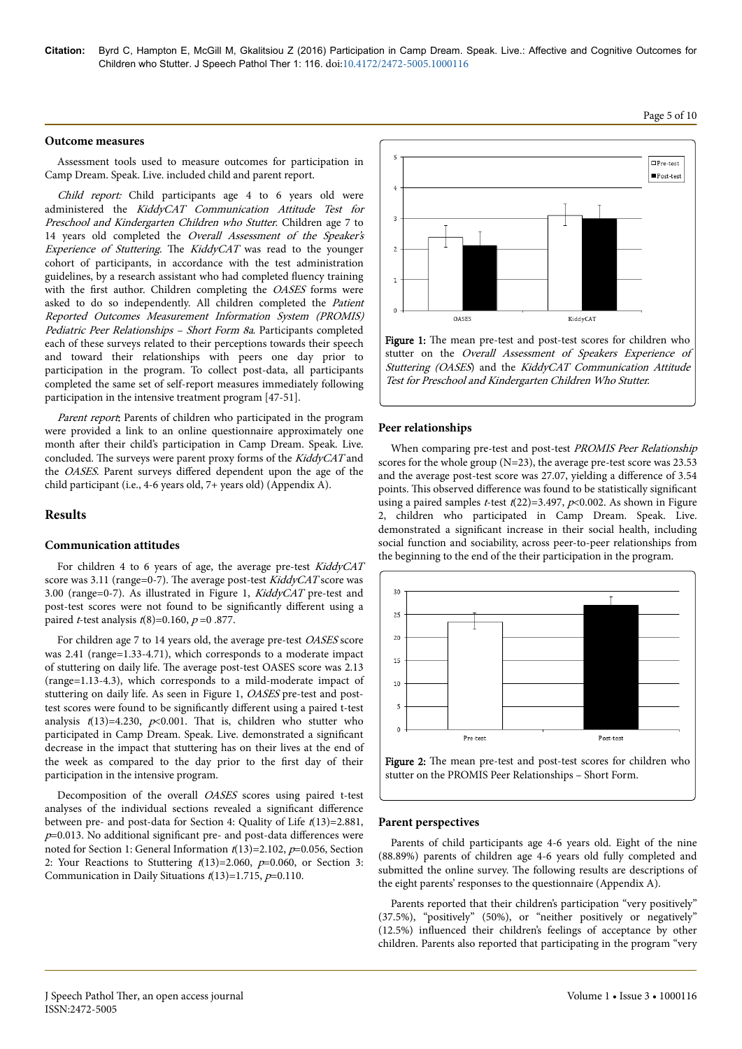**Citation:** Byrd C, Hampton E, McGill M, Gkalitsiou Z (2016) Participation in Camp Dream. Speak. Live.: Affective and Cognitive Outcomes for Children who Stutter. J Speech Pathol Ther 1: 116. doi:10.4172/2472-5005.1000116

#### **Outcome measures**

Assessment tools used to measure outcomes for participation in Camp Dream. Speak. Live. included child and parent report.

Child report: Child participants age 4 to 6 years old were administered the KiddyCAT Communication Attitude Test for Preschool and Kindergarten Children who Stutter. Children age 7 to 14 years old completed the Overall Assessment of the Speaker's Experience of Stuttering. The KiddyCAT was read to the younger cohort of participants, in accordance with the test administration guidelines, by a research assistant who had completed fluenc\ training with the first author. Children completing the OASES forms were asked to do so independently. All children completed the Patient Reported Outcomes Measurement Information System (PROMIS) Pediatric Peer Relationships – Short Form 8a. Participants completed each of these surveys related to their perceptions towards their speech and toward their relationships with peers one day prior to participation in the program. To collect post-data, all participants completed the same set of self-report measures immediately following participation in the intensive treatment program [47-51].

Parent report: Parents of children who participated in the program were provided a link to an online questionnaire approximately one month after their child's participation in Camp Dream. Speak. Live. concluded. The surveys were parent proxy forms of the *KiddyCAT* and the *OASES*. Parent surveys differed dependent upon the age of the child participant (i.e., 4-6 years old, 7+ years old) (Appendix A).

# **Results**

#### **Communication attitudes**

For children 4 to 6 years of age, the average pre-test KiddyCAT score was 3.11 (range=0-7). The average post-test KiddyCAT score was 3.00 (range=0-7). As illustrated in Figure 1,  $KiddyCAT$  pre-test and post-test scores were not found to be significantly different using a paired *t*-test analysis  $t(8)=0.160, p=0.877$ .

For children age 7 to 14 years old, the average pre-test OASES score was 2.41 (range=1.33-4.71), which corresponds to a moderate impact of stuttering on daily life. Нe average post-test OASES score was 2.13 (range=1.13-4.3), which corresponds to a mild-moderate impact of stuttering on daily life. As seen in Figure 1, OASES pre-test and posttest scores were found to be significantly different using a paired t-test analysis  $t(13)=4.230$ ,  $p<0.001$ . That is, children who stutter who participated in Camp Dream. Speak. Live. demonstrated a significant decrease in the impact that stuttering has on their lives at the end of the week as compared to the day prior to the first day of their participation in the intensive program.

Decomposition of the overall OASES scores using paired t-test analyses of the individual sections revealed a significant difference between pre- and post-data for Section 4: Quality of Life  $t(13)=2.881$ ,  $p=0.013$ . No additional significant pre- and post-data differences were noted for Section 1: General Information  $t(13)=2.102$ ,  $p=0.056$ , Section 2: Your Reactions to Stuttering  $t(13)=2.060$ ,  $p=0.060$ , or Section 3: Communication in Daily Situations  $t(13)=1.715$ ,  $p=0.110$ .



Figure 1: The mean pre-test and post-test scores for children who stutter on the *Overall Assessment of Speakers Experience of* Stuttering (OASES) and the KiddyCAT Communication Attitude Test for Preschool and Kindergarten Children Who Stutter.

#### **Peer relationships**

When comparing pre-test and post-test PROMIS Peer Relationship scores for the whole group  $(N=23)$ , the average pre-test score was 23.53 and the average post-test score was 27.07, yielding a difference of 3.54 points. This observed difference was found to be statistically significant using a paired samples t-test  $t(22)=3.497$ ,  $p<0.002$ . As shown in Figure 2, children who participated in Camp Dream. Speak. Live. demonstrated a significant increase in their social health, including social function and sociability, across peer-to-peer relationships from the beginning to the end of the their participation in the program.





#### **Parent perspectives**

Parents of child participants age 4-6 years old. Eight of the nine (88.89%) parents of children age 4-6 years old fully completed and submitted the online survey. Нe following results are descriptions of the eight parents' responses to the questionnaire (Appendix A).

Parents reported that their children's participation "very positively" (37.5%), "positively" (50%), or "neither positively or negatively" (12.5%) influenced their children's feelings of acceptance by other children. Parents also reported that participating in the program "very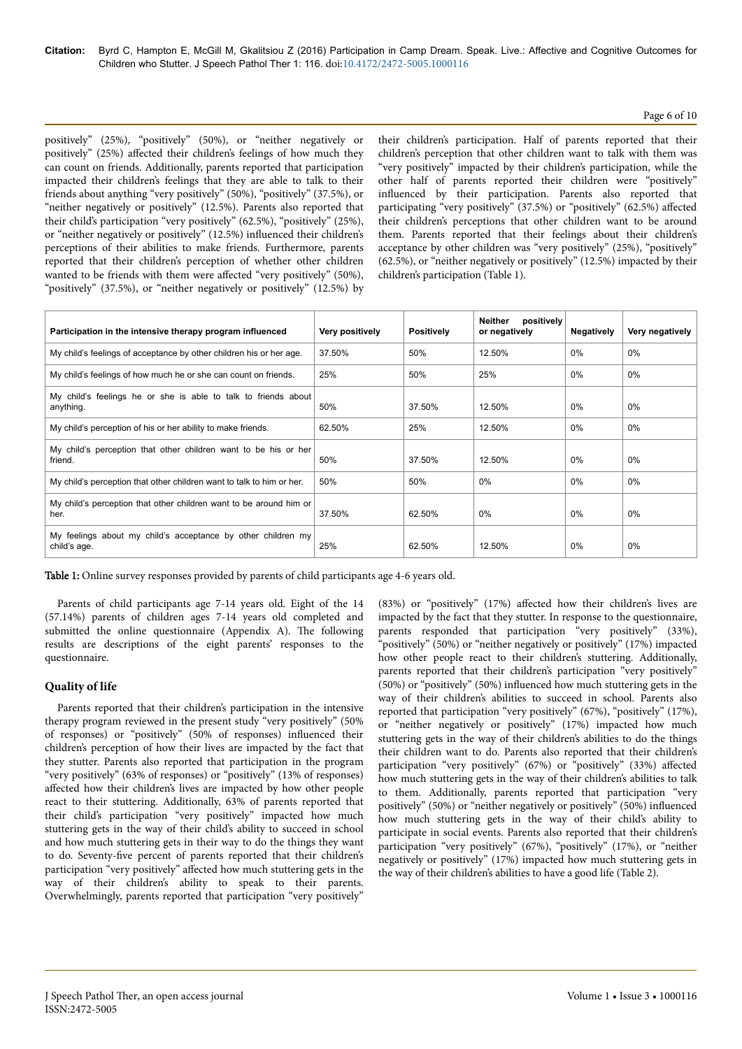# Page 6 of 10

positively" (25%), "positively" (50%), or "neither negatively or positively" (25%) affected their children's feelings of how much they can count on friends. Additionally, parents reported that participation impacted their children's feelings that they are able to talk to their friends about anything "very positively" (50%), "positively" (37.5%), or "neither negatively or positively" (12.5%). Parents also reported that their child's participation "very positively" (62.5%), "positively" (25%), or "neither negatively or positively" (12.5%) influenced their children's perceptions of their abilities to make friends. Furthermore, parents reported that their children's perception of whether other children wanted to be friends with them were affected "very positively" (50%), "positively" (37.5%), or "neither negatively or positively" (12.5%) by their children's participation. Half of parents reported that their children's perception that other children want to talk with them was "very positively" impacted by their children's participation, while the other half of parents reported their children were "positively" influenced by their participation. Parents also reported that participating "very positively" (37.5%) or "positively" (62.5%) affected their children's perceptions that other children want to be around them. Parents reported that their feelings about their children's acceptance by other children was "very positively" (25%), "positively" (62.5%), or "neither negatively or positively" (12.5%) impacted by their children's participation (Table 1).

| Participation in the intensive therapy program influenced                    | Very positively | <b>Positively</b> | Neither<br>positively<br>or negatively | Negatively | Very negatively |
|------------------------------------------------------------------------------|-----------------|-------------------|----------------------------------------|------------|-----------------|
| My child's feelings of acceptance by other children his or her age.          | 37.50%          | 50%               | 12.50%                                 | $0\%$      | $0\%$           |
| My child's feelings of how much he or she can count on friends.              | 25%             | 50%               | 25%                                    | $0\%$      | $0\%$           |
| My child's feelings he or she is able to talk to friends about<br>anything.  | 50%             | 37.50%            | 12.50%                                 | 0%         | 0%              |
| My child's perception of his or her ability to make friends.                 | 62.50%          | 25%               | 12.50%                                 | $0\%$      | 0%              |
| My child's perception that other children want to be his or her<br>friend.   | 50%             | 37.50%            | 12.50%                                 | 0%         | $0\%$           |
| My child's perception that other children want to talk to him or her.        | 50%             | 50%               | 0%                                     | $0\%$      | $0\%$           |
| My child's perception that other children want to be around him or<br>her.   | 37.50%          | 62.50%            | 0%                                     | 0%         | 0%              |
| My feelings about my child's acceptance by other children my<br>child's age. | 25%             | 62.50%            | 12.50%                                 | 0%         | 0%              |

Table 1: Online survey responses provided by parents of child participants age 4-6 years old.

Parents of child participants age 7-14 years old. Eight of the 14 (57.14%) parents of children ages 7-14 years old completed and submitted the online questionnaire (Appendix A). Нe following results are descriptions of the eight parents' responses to the questionnaire.

# **Quality of life**

Parents reported that their children's participation in the intensive therapy program reviewed in the present study "very positively" (50% of responses) or "positively" (50% of responses) influenced their children's perception of how their lives are impacted by the fact that they stutter. Parents also reported that participation in the program "very positively" (63% of responses) or "positively" (13% of responses) affected how their children's lives are impacted by how other people react to their stuttering. Additionally, 63% of parents reported that their child's participation "very positively" impacted how much stuttering gets in the way of their child's ability to succeed in school and how much stuttering gets in their way to do the things they want to do. Seventy-five percent of parents reported that their children's participation "very positively" affected how much stuttering gets in the way of their children's ability to speak to their parents. Overwhelmingly, parents reported that participation "very positively"

(83%) or "positively"  $(17%)$  affected how their children's lives are impacted by the fact that they stutter. In response to the questionnaire, parents responded that participation "very positively" (33%), "positively" (50%) or "neither negatively or positively" (17%) impacted how other people react to their children's stuttering. Additionally, parents reported that their children's participation "very positively" (50%) or "positively" (50%) influenced how much stuttering gets in the way of their children's abilities to succeed in school. Parents also reported that participation "very positively" (67%), "positively" (17%), or "neither negatively or positively" (17%) impacted how much stuttering gets in the way of their children's abilities to do the things their children want to do. Parents also reported that their children's participation "very positively" (67%) or "positively" (33%) affected how much stuttering gets in the way of their children's abilities to talk to them. Additionally, parents reported that participation "very positively" (50%) or "neither negatively or positively" (50%) influenced how much stuttering gets in the way of their child's ability to participate in social events. Parents also reported that their children's participation "very positively" (67%), "positively" (17%), or "neither negatively or positively" (17%) impacted how much stuttering gets in the way of their children's abilities to have a good life (Table 2).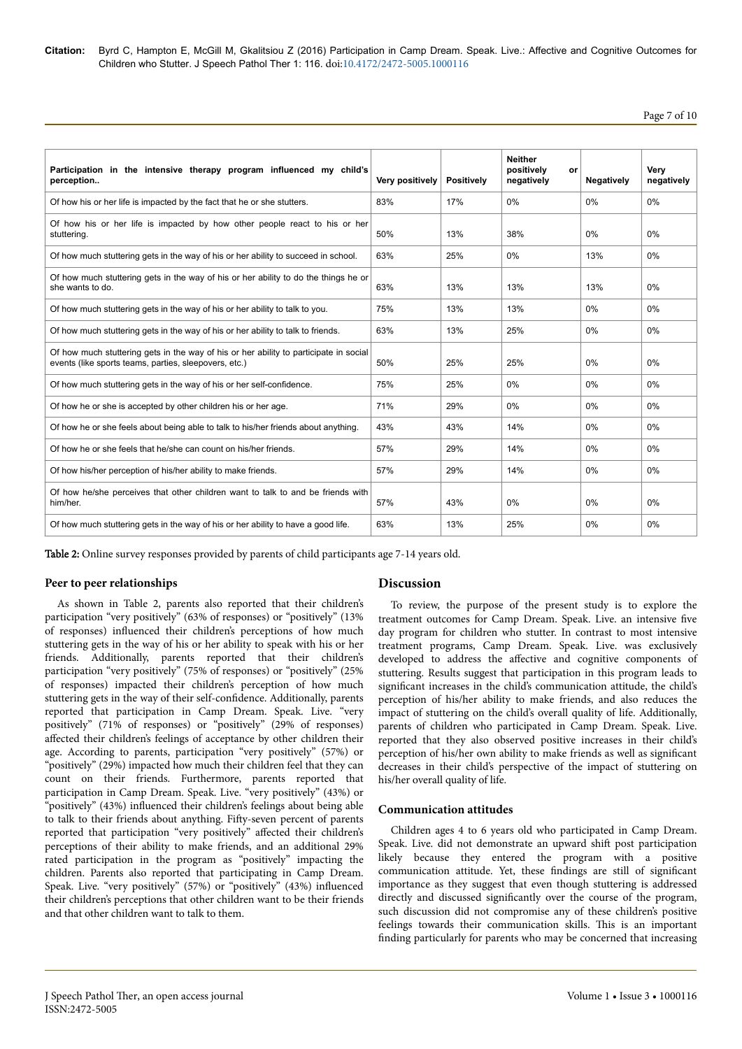**Citation:** Byrd C, Hampton E, McGill M, Gkalitsiou Z (2016) Participation in Camp Dream. Speak. Live.: Affective and Cognitive Outcomes for Children who Stutter. J Speech Pathol Ther 1: 116. doi:10.4172/2472-5005.1000116

| Participation in the intensive therapy program influenced my child's<br>perception                                                             | Very positively | <b>Positively</b> | <b>Neither</b><br>positively<br>or<br>negatively | <b>Negatively</b> | Very<br>negatively |
|------------------------------------------------------------------------------------------------------------------------------------------------|-----------------|-------------------|--------------------------------------------------|-------------------|--------------------|
| Of how his or her life is impacted by the fact that he or she stutters.                                                                        | 83%             | 17%               | 0%                                               | 0%                | 0%                 |
| Of how his or her life is impacted by how other people react to his or her<br>stuttering.                                                      | 50%             | 13%               | 38%                                              | 0%                | 0%                 |
| Of how much stuttering gets in the way of his or her ability to succeed in school.                                                             | 63%             | 25%               | $0\%$                                            | 13%               | 0%                 |
| Of how much stuttering gets in the way of his or her ability to do the things he or<br>she wants to do.                                        | 63%             | 13%               | 13%                                              | 13%               | 0%                 |
| Of how much stuttering gets in the way of his or her ability to talk to you.                                                                   | 75%             | 13%               | 13%                                              | 0%                | 0%                 |
| Of how much stuttering gets in the way of his or her ability to talk to friends.                                                               | 63%             | 13%               | 25%                                              | 0%                | 0%                 |
| Of how much stuttering gets in the way of his or her ability to participate in social<br>events (like sports teams, parties, sleepovers, etc.) | 50%             | 25%               | 25%                                              | 0%                | 0%                 |
| Of how much stuttering gets in the way of his or her self-confidence.                                                                          | 75%             | 25%               | $0\%$                                            | 0%                | 0%                 |
| Of how he or she is accepted by other children his or her age.                                                                                 | 71%             | 29%               | $0\%$                                            | 0%                | 0%                 |
| Of how he or she feels about being able to talk to his/her friends about anything.                                                             | 43%             | 43%               | 14%                                              | 0%                | 0%                 |
| Of how he or she feels that he/she can count on his/her friends.                                                                               | 57%             | 29%               | 14%                                              | 0%                | 0%                 |
| Of how his/her perception of his/her ability to make friends.                                                                                  | 57%             | 29%               | 14%                                              | 0%                | 0%                 |
| Of how he/she perceives that other children want to talk to and be friends with<br>him/her.                                                    | 57%             | 43%               | 0%                                               | 0%                | 0%                 |
| Of how much stuttering gets in the way of his or her ability to have a good life.                                                              | 63%             | 13%               | 25%                                              | 0%                | 0%                 |

Table 2: Online survey responses provided by parents of child participants age 7-14 years old.

# **Peer to peer relationships**

As shown in Table 2, parents also reported that their children's participation "very positively" (63% of responses) or "positively" (13% of responses) influenced their children's perceptions of how much stuttering gets in the way of his or her ability to speak with his or her friends. Additionally, parents reported that their children's participation "very positively" (75% of responses) or "positively" (25% of responses) impacted their children's perception of how much stuttering gets in the way of their self-confidence. Additionally, parents reported that participation in Camp Dream. Speak. Live. "very positively" (71% of responses) or "positively" (29% of responses) affected their children's feelings of acceptance by other children their age. According to parents, participation "very positively" (57%) or "positively" (29%) impacted how much their children feel that they can count on their friends. Furthermore, parents reported that participation in Camp Dream. Speak. Live. "very positively" (43%) or "positively" (43%) influenced their children's feelings about being able to talk to their friends about anything. Fifty-seven percent of parents reported that participation "very positively" affected their children's perceptions of their ability to make friends, and an additional 29% rated participation in the program as "positively" impacting the children. Parents also reported that participating in Camp Dream. Speak. Live. "very positively" (57%) or "positively" (43%) influenced their children's perceptions that other children want to be their friends and that other children want to talk to them.

# **Discussion**

To review, the purpose of the present study is to explore the treatment outcomes for Camp Dream. Speak. Live. an intensive five day program for children who stutter. In contrast to most intensive treatment programs, Camp Dream. Speak. Live. was exclusively developed to address the affective and cognitive components of stuttering. Results suggest that participation in this program leads to significant increases in the child's communication attitude, the child's perception of his/her ability to make friends, and also reduces the impact of stuttering on the child's overall quality of life. Additionally, parents of children who participated in Camp Dream. Speak. Live. reported that they also observed positive increases in their child's perception of his/her own ability to make friends as well as significant decreases in their child's perspective of the impact of stuttering on his/her overall quality of life.

# **Communication attitudes**

Children ages 4 to 6 years old who participated in Camp Dream. Speak. Live. did not demonstrate an upward shift post participation likely because they entered the program with a positive communication attitude. Yet, these findings are still of significant importance as they suggest that even though stuttering is addressed directly and discussed significantly over the course of the program, such discussion did not compromise any of these children's positive feelings towards their communication skills. Нis is an important finding particularly for parents who may be concerned that increasing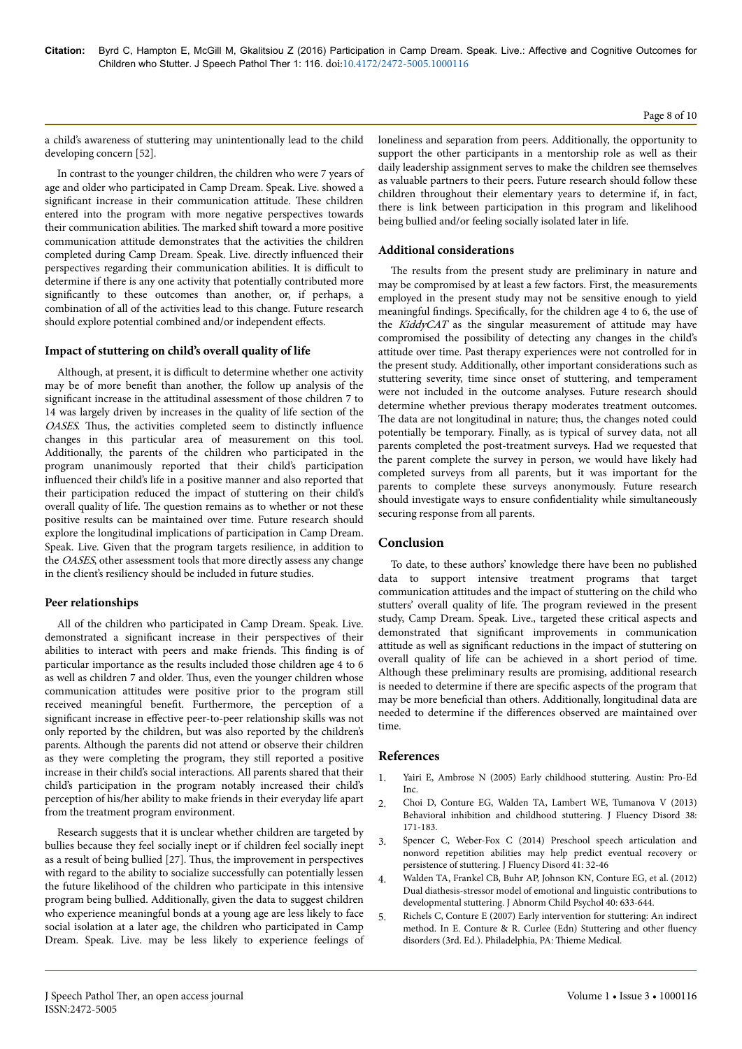a child's awareness of stuttering may unintentionally lead to the child developing concern [52].

In contrast to the younger children, the children who were 7 years of age and older who participated in Camp Dream. Speak. Live. showed a significant increase in their communication attitude. Нese children entered into the program with more negative perspectives towards their communication abilities. The marked shift toward a more positive communication attitude demonstrates that the activities the children completed during Camp Dream. Speak. Live. directly influenced their perspectives regarding their communication abilities. It is difficult to determine if there is any one activity that potentially contributed more significantly to these outcomes than another, or, if perhaps, a combination of all of the activities lead to this change. Future research should explore potential combined and/or independent effects.

#### **Impact of stuttering on child's overall quality of life**

Although, at present, it is difficult to determine whether one activity may be of more benefit than another, the follow up analysis of the significant increase in the attitudinal assessment of those children 7 to 14 was largely driven by increases in the quality of life section of the OASES. Нus, the activities completed seem to distinctly influence changes in this particular area of measurement on this tool. Additionally, the parents of the children who participated in the program unanimously reported that their child's participation influenced their child's life in a positive manner and also reported that their participation reduced the impact of stuttering on their child's overall quality of life. Нe question remains as to whether or not these positive results can be maintained over time. Future research should explore the longitudinal implications of participation in Camp Dream. Speak. Live. Given that the program targets resilience, in addition to the OASES, other assessment tools that more directly assess any change in the client's resiliency should be included in future studies.

# **Peer relationships**

All of the children who participated in Camp Dream. Speak. Live. demonstrated a significant increase in their perspectives of their abilities to interact with peers and make friends. Нis finding is of particular importance as the results included those children age 4 to 6 as well as children 7 and older. Нus, even the younger children whose communication attitudes were positive prior to the program still received meaningful benefit. Furthermore, the perception of a significant increase in effective peer-to-peer relationship skills was not only reported by the children, but was also reported by the children's parents. Although the parents did not attend or observe their children as they were completing the program, they still reported a positive increase in their child's social interactions. All parents shared that their child's participation in the program notably increased their child's perception of his/her ability to make friends in their everyday life apart from the treatment program environment.

Research suggests that it is unclear whether children are targeted by bullies because they feel socially inept or if children feel socially inept as a result of being bullied [27]. Нus, the improvement in perspectives with regard to the ability to socialize successfully can potentially lessen the future likelihood of the children who participate in this intensive program being bullied. Additionally, given the data to suggest children who experience meaningful bonds at a young age are less likely to face social isolation at a later age, the children who participated in Camp Dream. Speak. Live. may be less likely to experience feelings of loneliness and separation from peers. Additionally, the opportunity to support the other participants in a mentorship role as well as their daily leadership assignment serves to make the children see themselves as valuable partners to their peers. Future research should follow these children throughout their elementary years to determine if, in fact, there is link between participation in this program and likelihood being bullied and/or feeling socially isolated later in life.

#### **Additional considerations**

The results from the present study are preliminary in nature and may be compromised by at least a few factors. First, the measurements employed in the present study may not be sensitive enough to yield meaningful findings. Specifically, for the children age 4 to 6, the use of the KiddyCAT as the singular measurement of attitude may have compromised the possibility of detecting any changes in the child's attitude over time. Past therapy experiences were not controlled for in the present study. Additionally, other important considerations such as stuttering severity, time since onset of stuttering, and temperament were not included in the outcome analyses. Future research should determine whether previous therapy moderates treatment outcomes. The data are not longitudinal in nature; thus, the changes noted could potentially be temporary. Finally, as is typical of survey data, not all parents completed the post-treatment surveys. Had we requested that the parent complete the survey in person, we would have likely had completed surveys from all parents, but it was important for the parents to complete these surveys anonymously. Future research should investigate ways to ensure confidentiality while simultaneously securing response from all parents.

# **Conclusion**

To date, to these authors' knowledge there have been no published data to support intensive treatment programs that target communication attitudes and the impact of stuttering on the child who stutters' overall quality of life. Нe program reviewed in the present study, Camp Dream. Speak. Live., targeted these critical aspects and demonstrated that significant improvements in communication attitude as well as significant reductions in the impact of stuttering on overall quality of life can be achieved in a short period of time. Although these preliminary results are promising, additional research is needed to determine if there are specific aspects of the program that may be more beneficial than others. Additionally, longitudinal data are needed to determine if the differences observed are maintained over time.

# **References**

- 1. Yairi E, Ambrose N (2005) Early childhood stuttering. Austin: Pro-Ed Inc.
- 2. [Choi D, Conture EG, Walden TA, Lambert WE, Tumanova V \(2013\)](http://www.ncbi.nlm.nih.gov/pubmed/23773669) [Behavioral inhibition and childhood stuttering. J Fluency Disord 38:](http://www.ncbi.nlm.nih.gov/pubmed/23773669) [171-183.](http://www.ncbi.nlm.nih.gov/pubmed/23773669)
- 3. [Spencer C, Weber-Fox C \(2014\) Preschool speech articulation and](http://www.ncbi.nlm.nih.gov/pubmed/25173455) [nonword repetition abilities may help predict eventual recovery or](http://www.ncbi.nlm.nih.gov/pubmed/25173455) [persistence of stuttering. J Fluency Disord 41: 32-46](http://www.ncbi.nlm.nih.gov/pubmed/25173455)
- 4. [Walden TA, Frankel CB, Buhr AP, Johnson KN, Conture EG, et al. \(2012\)](http://www.ncbi.nlm.nih.gov/pubmed/22016200) [Dual diathesis-stressor model of emotional and linguistic contributions to](http://www.ncbi.nlm.nih.gov/pubmed/22016200) [developmental stuttering. J Abnorm Child Psychol 40: 633-644.](http://www.ncbi.nlm.nih.gov/pubmed/22016200)
- 5. Richels C, Conture E (2007) Early intervention for stuttering: An indirect method. In E. Conture & R. Curlee (Edn) Stuttering and other fluenc\ disorders (3rd. Ed.). Philadelphia, PA: Нieme Medical.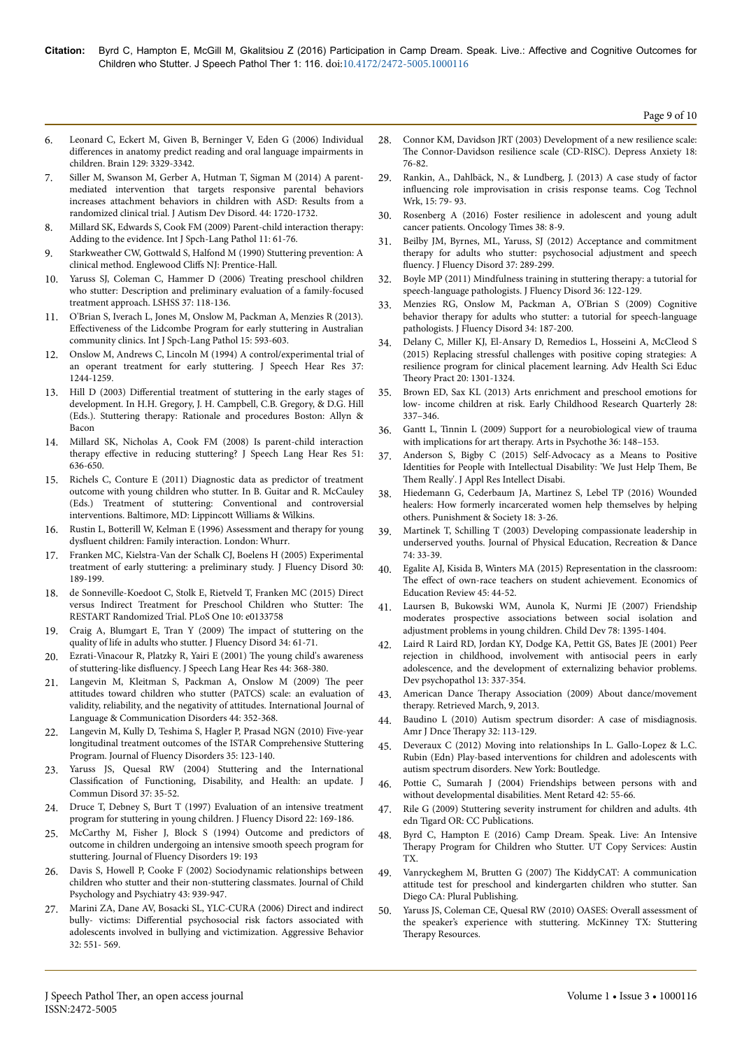- 6. [Leonard C, Eckert M, Given B, Berninger V, Eden G \(2006\) Individual](http://www.ncbi.nlm.nih.gov/pubmed/17012292) differences [in anatomy predict reading and oral language impairments in](http://www.ncbi.nlm.nih.gov/pubmed/17012292) [children. Brain 129: 3329-3342](http://www.ncbi.nlm.nih.gov/pubmed/17012292).
- [Siller M, Swanson M, Gerber A, Hutman T, Sigman M \(2014\) A parent](http://www.ncbi.nlm.nih.gov/pubmed/24488157)[mediated intervention that targets responsive parental behaviors](http://www.ncbi.nlm.nih.gov/pubmed/24488157) [increases attachment behaviors in children with ASD: Results from a](http://www.ncbi.nlm.nih.gov/pubmed/24488157) [randomized clinical trial. J Autism Dev Disord. 44: 1720-1732.](http://www.ncbi.nlm.nih.gov/pubmed/24488157)
- 8. [Millard SK, Edwards S, Cook FM \(2009\) Parent-child interaction therapy:](http://www.tandfonline.com/doi/abs/10.1080/17549500802603895) [Adding to the evidence. Int J Spch-Lang Pathol 11: 61-76.](http://www.tandfonline.com/doi/abs/10.1080/17549500802603895)
- 9. Starkweather CW, Gottwald S, Halfond M (1990) Stuttering prevention: A clinical method. Englewood Cliffs NJ: Prentice-Hall.
- 10. Yaruss SJ, Coleman C, Hammer D (2006) Treating preschool children who stutter: Description and preliminary evaluation of a family-focused treatment approach. LSHSS 37: 118-136.
- 11. O'Brian S, Iverach L, Jones M, Onslow M, Packman A, Menzies R (2013). Effectiveness of the Lidcombe Program for early stuttering in Australian community clinics. Int J Spch-Lang Pathol 15: 593-603.
- 12. [Onslow M, Andrews C, Lincoln M \(1994\) A control/experimental trial of](http://www.ncbi.nlm.nih.gov/pubmed/7877284) [an operant treatment for early stuttering. J Speech Hear Res 37:](http://www.ncbi.nlm.nih.gov/pubmed/7877284) [1244-1259.](http://www.ncbi.nlm.nih.gov/pubmed/7877284)
- 13. Hill D (2003) Differential treatment of stuttering in the early stages of development. In H.H. Gregory, J. H. Campbell, C.B. Gregory, & D.G. Hill (Eds.). Stuttering therapy: Rationale and procedures Boston: Allyn & Bacon
- 14. [Millard SK, Nicholas A, Cook FM \(2008\) Is parent-child interaction](http://www.ncbi.nlm.nih.gov/pubmed/18506041) therapy effective [in reducing stuttering? J Speech Lang Hear Res 51:](http://www.ncbi.nlm.nih.gov/pubmed/18506041) [636-650.](http://www.ncbi.nlm.nih.gov/pubmed/18506041)
- 15. Richels C, Conture E (2011) Diagnostic data as predictor of treatment outcome with young children who stutter. In B. Guitar and R. McCauley (Eds.) Treatment of stuttering: Conventional and controversial interventions. Baltimore, MD: Lippincott Williams & Wilkins.
- 16. Rustin L, Botterill W, Kelman E (1996) Assessment and therapy for young dysfluent children: Family interaction. London: Whurr.
- 17. [Franken MC, Kielstra-Van der Schalk CJ, Boelens H \(2005\) Experimental](http://www.ncbi.nlm.nih.gov/pubmed/16023710) [treatment of early stuttering: a preliminary study. J Fluency Disord 30:](http://www.ncbi.nlm.nih.gov/pubmed/16023710) [189-199.](http://www.ncbi.nlm.nih.gov/pubmed/16023710)
- 18. de Sonneville-Koedoot C, Stolk E, Rietveld T, Franken MC (2015) Direct versus Indirect Treatment for Preschool Children who Stutter: Нe RESTART Randomized Trial. PLoS One 10: e0133758
- 19. [Craig A, Blumgart E, Tran Y \(2009\)](http://www.ncbi.nlm.nih.gov/pubmed/19686883) The impact of stuttering on the [quality of life in adults who stutter. J Fluency Disord 34: 61-71.](http://www.ncbi.nlm.nih.gov/pubmed/19686883)
- 20. [Ezrati-Vinacour R, Platzky R, Yairi E \(2001\)](http://www.ncbi.nlm.nih.gov/pubmed/11324658) Нe young child's awareness of stuttering-like disfluenc\. [J Speech Lang Hear Res 44: 368-380.](http://www.ncbi.nlm.nih.gov/pubmed/11324658)
- 21. [Langevin M, Kleitman S, Packman A, Onslow M \(2009\)](http://www.ncbi.nlm.nih.gov/pubmed/19686884) Нe peer [attitudes toward children who stutter \(PATCS\) scale: an evaluation of](http://www.ncbi.nlm.nih.gov/pubmed/19686884) [validity, reliability, and the negativity of attitudes. International Journal of](http://www.ncbi.nlm.nih.gov/pubmed/19686884) [Language & Communication Disorders 44: 352-368.](http://www.ncbi.nlm.nih.gov/pubmed/19686884)
- 22. Langevin M, Kully D, Teshima S, Hagler P, Prasad NGN (2010) Five-year longitudinal treatment outcomes of the ISTAR Comprehensive Stuttering Program. Journal of Fluency Disorders 35: 123-140.
- 23. [Yaruss JS, Quesal RW \(2004\) Stuttering and the International](http://www.ncbi.nlm.nih.gov/pubmed/15013378) Classification [of Functioning, Disability, and Health: an update. J](http://www.ncbi.nlm.nih.gov/pubmed/15013378) [Commun Disord 37: 35-52.](http://www.ncbi.nlm.nih.gov/pubmed/15013378)
- 24. [Druce T, Debney S, Burt T \(1997\) Evaluation of an intensive treatment](http://www.sciencedirect.com/science/article/pii/S0094730X97000053) [program for stuttering in young children. J Fluency Disord 22: 169-186.](http://www.sciencedirect.com/science/article/pii/S0094730X97000053)
- 25. McCarthy M, Fisher J, Block S (1994) Outcome and predictors of outcome in children undergoing an intensive smooth speech program for stuttering. Journal of Fluency Disorders 19: 193
- 26. Davis S, Howell P, Cooke F (2002) Sociodynamic relationships between children who stutter and their non-stuttering classmates. Journal of Child Psychology and Psychiatry 43: 939-947.
- 27. Marini ZA, Dane AV, Bosacki SL, YLC-CURA (2006) Direct and indirect bully- victims: Differential psychosocial risk factors associated with adolescents involved in bullying and victimization. Aggressive Behavior 32: 551- 569.
- 28. Connor KM, Davidson JRT (2003) Development of a new resilience scale: The Connor-Davidson resilience scale (CD-RISC). Depress Anxiety 18: 76-82.
- 29. Rankin, A., Dahlbäck, N., & Lundberg, J. (2013) A case study of factor influencing role improvisation in crisis response teams. Cog Technol Wrk, 15: 79- 93.
- 30. Rosenberg A (2016) Foster resilience in adolescent and young adult cancer patients. Oncology Times 38: 8-9.
- 31. Beilby JM, Byrnes, ML, Yaruss, SJ (2012) Acceptance and commitment therapy for adults who stutter: psychosocial adjustment and speech fluency. J Fluency Disord 37: 289-299.
- 32. [Boyle MP \(2011\) Mindfulness training in stuttering therapy: a tutorial for](http://www.ncbi.nlm.nih.gov/pubmed/21664530) [speech-language pathologists. J Fluency Disord 36: 122-129.](http://www.ncbi.nlm.nih.gov/pubmed/21664530)
- 33. Menzies RG, Onslow M, Packman A, O'Brian S (2009) Cognitive behavior therapy for adults who stutter: a tutorial for speech-language pathologists. J Fluency Disord 34: 187-200.
- 34. Delany C, Miller KJ, El-Ansary D, Remedios L, Hosseini A, McCleod S (2015) Replacing stressful challenges with positive coping strategies: A resilience program for clinical placement learning. Adv Health Sci Educ Theory Pract 20: 1301-1324.
- 35. Brown ED, Sax KL (2013) Arts enrichment and preschool emotions for low- income children at risk. Early Childhood Research Quarterly 28: 337–346.
- 36. Gantt L, Tinnin L (2009) Support for a neurobiological view of trauma with implications for art therapy. Arts in Psychothe 36: 148–153.
- 37. Anderson S, Bigby C (2015) Self-Advocacy as a Means to Positive Identities for People with Intellectual Disability: 'We Just Help Нem, Be Them Really'. J Appl Res Intellect Disabi.
- 38. [Hiedemann G, Cederbaum JA, Martinez S, Lebel TP \(2016\) Wounded](http://pun.sagepub.com/content/18/1/3.abstract) [healers: How formerly incarcerated women help themselves by helping](http://pun.sagepub.com/content/18/1/3.abstract) [others. Punishment & Society 18: 3-26.](http://pun.sagepub.com/content/18/1/3.abstract)
- 39. [Martinek T, Schilling T \(2003\) Developing compassionate leadership in](http://www.tandfonline.com/doi/abs/10.1080/07303084.2003.10608483?journalCode=ujrd20) [underserved youths. Journal of Physical Education, Recreation & Dance](http://www.tandfonline.com/doi/abs/10.1080/07303084.2003.10608483?journalCode=ujrd20) [74: 33-39.](http://www.tandfonline.com/doi/abs/10.1080/07303084.2003.10608483?journalCode=ujrd20)
- 40. Egalite AJ, Kisida B, Winters MA (2015) Representation in the classroom: The effect of own-race teachers on student achievement. Economics of Education Review 45: 44-52.
- 41. [Laursen B, Bukowski WM, Aunola K, Nurmi JE \(2007\) Friendship](http://www.ncbi.nlm.nih.gov/pmc/articles/PMC2754761/) [moderates prospective associations between social isolation and](http://www.ncbi.nlm.nih.gov/pmc/articles/PMC2754761/) [adjustment problems in young children. Child Dev 78: 1395-1404.](http://www.ncbi.nlm.nih.gov/pmc/articles/PMC2754761/)
- 42. Laird R Laird RD, Jordan KY, Dodge KA, Pettit GS, Bates JE (2001) Peer rejection in childhood, involvement with antisocial peers in early adolescence, and the development of externalizing behavior problems. Dev psychopathol 13: 337-354.
- 43. American Dance Therapy Association (2009) About dance/movement therapy. Retrieved March, 9, 2013.
- 44. [Baudino L \(2010\) Autism spectrum disorder: A case of misdiagnosis.](http://link.springer.com/article/10.1007/s10465-010-9095-x) Amr J Dnce Therapy [32: 113-129.](http://link.springer.com/article/10.1007/s10465-010-9095-x)
- 45. Deveraux C (2012) Moving into relationships In L. Gallo-Lopez & L.C. Rubin (Edn) Play-based interventions for children and adolescents with autism spectrum disorders. New York: Boutledge.
- 46. [Pottie C, Sumarah J \(2004\) Friendships between persons with and](http://www.ncbi.nlm.nih.gov/pubmed/14720094) [without developmental disabilities. Ment Retard 42: 55-66.](http://www.ncbi.nlm.nih.gov/pubmed/14720094)
- 47. Rile G (2009) Stuttering severity instrument for children and adults. 4th edn Tigard OR: CC Publications.
- Byrd C, Hampton E (2016) Camp Dream. Speak. Live: An Intensive Therapy Program for Children who Stutter. UT Copy Services: Austin TX.
- 49. Vanryckeghem M, Brutten G (2007) Нe KiddyCAT: A communication attitude test for preschool and kindergarten children who stutter. San Diego CA: Plural Publishing.
- 50. Yaruss JS, Coleman CE, Quesal RW (2010) OASES: Overall assessment of the speaker's experience with stuttering. McKinney TX: Stuttering Therapy Resources.